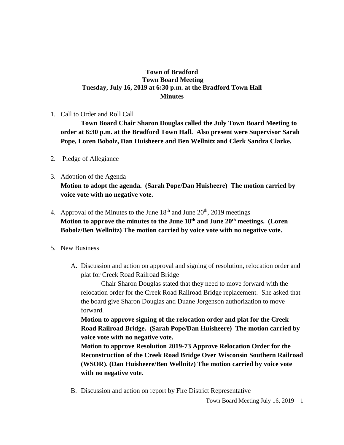## **Town of Bradford Town Board Meeting Tuesday, July 16, 2019 at 6:30 p.m. at the Bradford Town Hall Minutes**

1. Call to Order and Roll Call

**Town Board Chair Sharon Douglas called the July Town Board Meeting to order at 6:30 p.m. at the Bradford Town Hall. Also present were Supervisor Sarah Pope, Loren Bobolz, Dan Huisheere and Ben Wellnitz and Clerk Sandra Clarke.**

- 2. Pledge of Allegiance
- 3. Adoption of the Agenda **Motion to adopt the agenda. (Sarah Pope/Dan Huisheere) The motion carried by voice vote with no negative vote.**
- 4. Approval of the Minutes to the June  $18<sup>th</sup>$  and June  $20<sup>th</sup>$ ,  $2019$  meetings **Motion to approve the minutes to the June 18th and June 20th meetings. (Loren Bobolz/Ben Wellnitz) The motion carried by voice vote with no negative vote.**

## 5. New Business

A. Discussion and action on approval and signing of resolution, relocation order and plat for Creek Road Railroad Bridge

Chair Sharon Douglas stated that they need to move forward with the relocation order for the Creek Road Railroad Bridge replacement. She asked that the board give Sharon Douglas and Duane Jorgenson authorization to move forward.

**Motion to approve signing of the relocation order and plat for the Creek Road Railroad Bridge. (Sarah Pope/Dan Huisheere) The motion carried by voice vote with no negative vote.**

**Motion to approve Resolution 2019-73 Approve Relocation Order for the Reconstruction of the Creek Road Bridge Over Wisconsin Southern Railroad (WSOR). (Dan Huisheere/Ben Wellnitz) The motion carried by voice vote with no negative vote.**

B. Discussion and action on report by Fire District Representative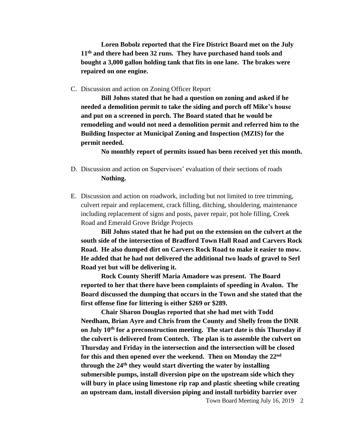**Loren Bobolz reported that the Fire District Board met on the July 11th and there had been 32 runs. They have purchased hand tools and bought a 3,000 gallon holding tank that fits in one lane. The brakes were repaired on one engine.**

C. Discussion and action on Zoning Officer Report

**Bill Johns stated that he had a question on zoning and asked if he needed a demolition permit to take the siding and porch off Mike's house and put on a screened in porch. The Board stated that he would be remodeling and would not need a demolition permit and referred him to the Building Inspector at Municipal Zoning and Inspection (MZIS) for the permit needed.** 

**No monthly report of permits issued has been received yet this month.**

- D. Discussion and action on Supervisors' evaluation of their sections of roads **Nothing.**
- E. Discussion and action on roadwork, including but not limited to tree trimming, culvert repair and replacement, crack filling, ditching, shouldering, maintenance including replacement of signs and posts, paver repair, pot hole filling, Creek Road and Emerald Grove Bridge Projects

**Bill Johns stated that he had put on the extension on the culvert at the south side of the intersection of Bradford Town Hall Road and Carvers Rock Road. He also dumped dirt on Carvers Rock Road to make it easier to mow. He added that he had not delivered the additional two loads of gravel to Serl Road yet but will be delivering it.** 

**Rock County Sheriff Maria Amadore was present. The Board reported to her that there have been complaints of speeding in Avalon. The Board discussed the dumping that occurs in the Town and she stated that the first offense fine for littering is either \$269 or \$289.** 

**Chair Sharon Douglas reported that she had met with Todd Needham, Brian Ayre and Chris from the County and Shelly from the DNR on July 10th for a preconstruction meeting. The start date is this Thursday if the culvert is delivered from Contech. The plan is to assemble the culvert on Thursday and Friday in the intersection and the intersection will be closed for this and then opened over the weekend. Then on Monday the 22nd through the 24th they would start diverting the water by installing submersible pumps, install diversion pipe on the upstream side which they will bury in place using limestone rip rap and plastic sheeting while creating an upstream dam, install diversion piping and install turbidity barrier over**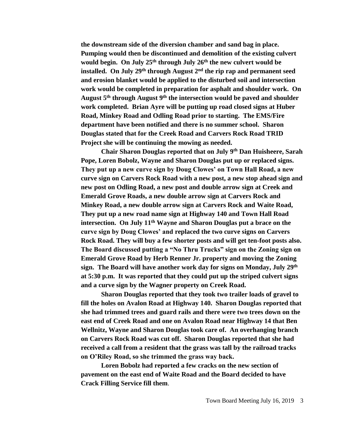**the downstream side of the diversion chamber and sand bag in place. Pumping would then be discontinued and demolition of the existing culvert would begin. On July 25th through July 26th the new culvert would be installed. On July 29th through August 2nd the rip rap and permanent seed and erosion blanket would be applied to the disturbed soil and intersection work would be completed in preparation for asphalt and shoulder work. On August 5th through August 9th the intersection would be paved and shoulder work completed. Brian Ayre will be putting up road closed signs at Huber Road, Minkey Road and Odling Road prior to starting. The EMS/Fire department have been notified and there is no summer school. Sharon Douglas stated that for the Creek Road and Carvers Rock Road TRID Project she will be continuing the mowing as needed.**

**Chair Sharon Douglas reported that on July 9th Dan Huisheere, Sarah Pope, Loren Bobolz, Wayne and Sharon Douglas put up or replaced signs. They put up a new curve sign by Doug Clowes' on Town Hall Road, a new curve sign on Carvers Rock Road with a new post, a new stop ahead sign and new post on Odling Road, a new post and double arrow sign at Creek and Emerald Grove Roads, a new double arrow sign at Carvers Rock and Minkey Road, a new double arrow sign at Carvers Rock and Waite Road, They put up a new road name sign at Highway 140 and Town Hall Road intersection. On July 11th Wayne and Sharon Douglas put a brace on the curve sign by Doug Clowes' and replaced the two curve signs on Carvers Rock Road. They will buy a few shorter posts and will get ten-foot posts also. The Board discussed putting a "No Thru Trucks" sign on the Zoning sign on Emerald Grove Road by Herb Renner Jr. property and moving the Zoning sign. The Board will have another work day for signs on Monday, July 29th at 5:30 p.m. It was reported that they could put up the striped culvert signs and a curve sign by the Wagner property on Creek Road.** 

**Sharon Douglas reported that they took two trailer loads of gravel to fill the holes on Avalon Road at Highway 140. Sharon Douglas reported that she had trimmed trees and guard rails and there were two trees down on the east end of Creek Road and one on Avalon Road near Highway 14 that Ben Wellnitz, Wayne and Sharon Douglas took care of. An overhanging branch on Carvers Rock Road was cut off. Sharon Douglas reported that she had received a call from a resident that the grass was tall by the railroad tracks on O'Riley Road, so she trimmed the grass way back.**

**Loren Bobolz had reported a few cracks on the new section of pavement on the east end of Waite Road and the Board decided to have Crack Filling Service fill them**.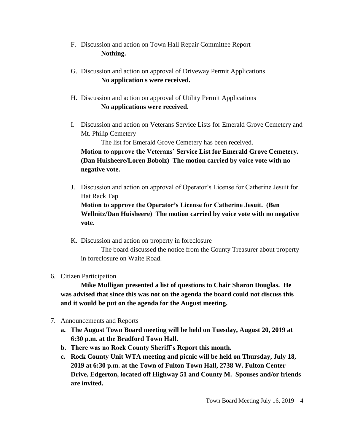- F. Discussion and action on Town Hall Repair Committee Report **Nothing.**
- G. Discussion and action on approval of Driveway Permit Applications **No application s were received.**
- H. Discussion and action on approval of Utility Permit Applications **No applications were received.**
- I. Discussion and action on Veterans Service Lists for Emerald Grove Cemetery and Mt. Philip Cemetery

The list for Emerald Grove Cemetery has been received.

**Motion to approve the Veterans' Service List for Emerald Grove Cemetery. (Dan Huisheere/Loren Bobolz) The motion carried by voice vote with no negative vote.**

- J. Discussion and action on approval of Operator's License for Catherine Jesuit for Hat Rack Tap **Motion to approve the Operator's License for Catherine Jesuit. (Ben Wellnitz/Dan Huisheere) The motion carried by voice vote with no negative vote.**
- K. Discussion and action on property in foreclosure The board discussed the notice from the County Treasurer about property in foreclosure on Waite Road.
- 6. Citizen Participation

**Mike Mulligan presented a list of questions to Chair Sharon Douglas. He was advised that since this was not on the agenda the board could not discuss this and it would be put on the agenda for the August meeting.**

- 7. Announcements and Reports
	- **a. The August Town Board meeting will be held on Tuesday, August 20, 2019 at 6:30 p.m. at the Bradford Town Hall.**
	- **b. There was no Rock County Sheriff's Report this month.**
	- **c. Rock County Unit WTA meeting and picnic will be held on Thursday, July 18, 2019 at 6:30 p.m. at the Town of Fulton Town Hall, 2738 W. Fulton Center Drive, Edgerton, located off Highway 51 and County M. Spouses and/or friends are invited.**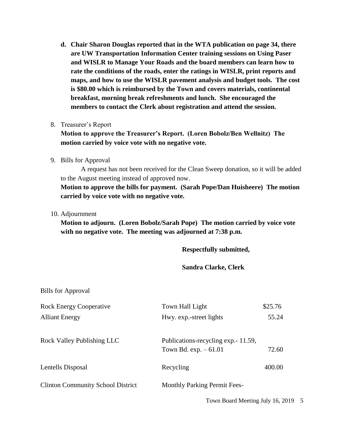**d. Chair Sharon Douglas reported that in the WTA publication on page 34, there are UW Transportation Information Center training sessions on Using Paser and WISLR to Manage Your Roads and the board members can learn how to rate the conditions of the roads, enter the ratings in WISLR, print reports and maps, and how to use the WISLR pavement analysis and budget tools. The cost is \$80.00 which is reimbursed by the Town and covers materials, continental breakfast, morning break refreshments and lunch. She encouraged the members to contact the Clerk about registration and attend the session.**

## 8. Treasurer's Report

**Motion to approve the Treasurer's Report. (Loren Bobolz/Ben Wellnitz) The motion carried by voice vote with no negative vote.**

9. Bills for Approval

A request has not been received for the Clean Sweep donation, so it will be added to the August meeting instead of approved now.

**Motion to approve the bills for payment. (Sarah Pope/Dan Huisheere) The motion carried by voice vote with no negative vote.**

10. Adjournment

**Motion to adjourn. (Loren Bobolz/Sarah Pope) The motion carried by voice vote with no negative vote. The meeting was adjourned at 7:38 p.m.**

**Respectfully submitted,**

**Sandra Clarke, Clerk**

| <b>Bills for Approval</b>                |                                                                |         |
|------------------------------------------|----------------------------------------------------------------|---------|
| <b>Rock Energy Cooperative</b>           | Town Hall Light                                                | \$25.76 |
| <b>Alliant Energy</b>                    | Hwy. exp.-street lights                                        | 55.24   |
| <b>Rock Valley Publishing LLC</b>        | Publications-recycling exp. - 11.59,<br>Town Bd. $exp. -61.01$ | 72.60   |
| Lentells Disposal                        | Recycling                                                      | 400.00  |
| <b>Clinton Community School District</b> | <b>Monthly Parking Permit Fees-</b>                            |         |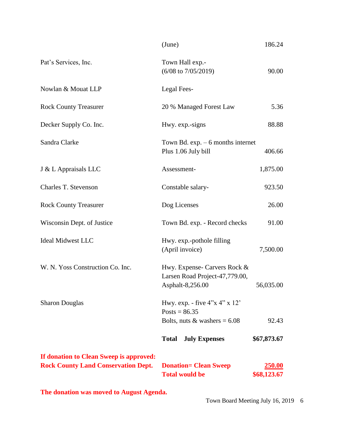|                                                                                       | (June)                                                                                | 186.24                       |
|---------------------------------------------------------------------------------------|---------------------------------------------------------------------------------------|------------------------------|
| Pat's Services, Inc.                                                                  | Town Hall exp.-<br>$(6/08 \text{ to } 7/05/2019)$                                     | 90.00                        |
| Nowlan & Mouat LLP                                                                    | Legal Fees-                                                                           |                              |
| <b>Rock County Treasurer</b>                                                          | 20 % Managed Forest Law                                                               | 5.36                         |
| Decker Supply Co. Inc.                                                                | Hwy. exp.-signs                                                                       | 88.88                        |
| Sandra Clarke                                                                         | Town Bd. $exp. - 6$ months internet<br>Plus 1.06 July bill                            | 406.66                       |
| J & L Appraisals LLC                                                                  | Assessment-                                                                           | 1,875.00                     |
| Charles T. Stevenson                                                                  | Constable salary-                                                                     | 923.50                       |
| <b>Rock County Treasurer</b>                                                          | Dog Licenses                                                                          | 26.00                        |
| Wisconsin Dept. of Justice                                                            | Town Bd. exp. - Record checks                                                         | 91.00                        |
| <b>Ideal Midwest LLC</b>                                                              | Hwy. exp.-pothole filling<br>(April invoice)                                          | 7,500.00                     |
| W. N. Yoss Construction Co. Inc.                                                      | Hwy. Expense- Carvers Rock &<br>Larsen Road Project-47,779.00,<br>Asphalt-8,256.00    | 56,035.00                    |
| <b>Sharon Douglas</b>                                                                 | Hwy. exp. - five $4''x 4''x 12'$<br>Posts = $86.35$<br>Bolts, nuts & washers = $6.08$ | 92.43                        |
|                                                                                       | <b>Total</b><br><b>July Expenses</b>                                                  | \$67,873.67                  |
| If donation to Clean Sweep is approved:<br><b>Rock County Land Conservation Dept.</b> | <b>Donation= Clean Sweep</b><br><b>Total would be</b>                                 | <b>250.00</b><br>\$68,123.67 |

**The donation was moved to August Agenda.**